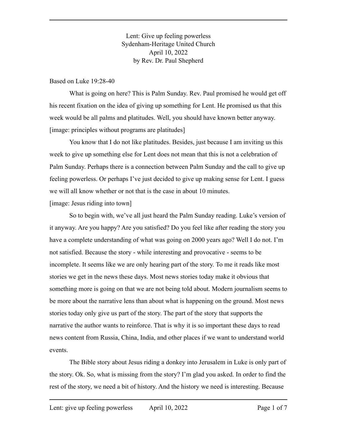Lent: Give up feeling powerless Sydenham-Heritage United Church April 10, 2022 by Rev. Dr. Paul Shepherd

#### Based on Luke 19:28-40

What is going on here? This is Palm Sunday. Rev. Paul promised he would get off his recent fixation on the idea of giving up something for Lent. He promised us that this week would be all palms and platitudes. Well, you should have known better anyway. [image: principles without programs are platitudes]

You know that I do not like platitudes. Besides, just because I am inviting us this week to give up something else for Lent does not mean that this is not a celebration of Palm Sunday. Perhaps there is a connection between Palm Sunday and the call to give up feeling powerless. Or perhaps I've just decided to give up making sense for Lent. I guess we will all know whether or not that is the case in about 10 minutes.

[image: Jesus riding into town]

So to begin with, we've all just heard the Palm Sunday reading. Luke's version of it anyway. Are you happy? Are you satisfied? Do you feel like after reading the story you have a complete understanding of what was going on 2000 years ago? Well I do not. I'm not satisfied. Because the story - while interesting and provocative - seems to be incomplete. It seems like we are only hearing part of the story. To me it reads like most stories we get in the news these days. Most news stories today make it obvious that something more is going on that we are not being told about. Modern journalism seems to be more about the narrative lens than about what is happening on the ground. Most news stories today only give us part of the story. The part of the story that supports the narrative the author wants to reinforce. That is why it is so important these days to read news content from Russia, China, India, and other places if we want to understand world events.

The Bible story about Jesus riding a donkey into Jerusalem in Luke is only part of the story. Ok. So, what is missing from the story? I'm glad you asked. In order to find the rest of the story, we need a bit of history. And the history we need is interesting. Because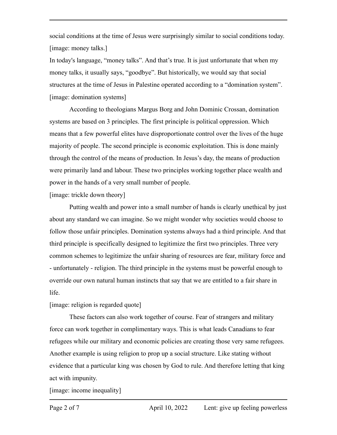social conditions at the time of Jesus were surprisingly similar to social conditions today. [image: money talks.]

In today's language, "money talks". And that's true. It is just unfortunate that when my money talks, it usually says, "goodbye". But historically, we would say that social structures at the time of Jesus in Palestine operated according to a "domination system". [image: domination systems]

According to theologians Margus Borg and John Dominic Crossan, domination systems are based on 3 principles. The first principle is political oppression. Which means that a few powerful elites have disproportionate control over the lives of the huge majority of people. The second principle is economic exploitation. This is done mainly through the control of the means of production. In Jesus's day, the means of production were primarily land and labour. These two principles working together place wealth and power in the hands of a very small number of people.

[image: trickle down theory]

Putting wealth and power into a small number of hands is clearly unethical by just about any standard we can imagine. So we might wonder why societies would choose to follow those unfair principles. Domination systems always had a third principle. And that third principle is specifically designed to legitimize the first two principles. Three very common schemes to legitimize the unfair sharing of resources are fear, military force and - unfortunately - religion. The third principle in the systems must be powerful enough to override our own natural human instincts that say that we are entitled to a fair share in life.

## [image: religion is regarded quote]

These factors can also work together of course. Fear of strangers and military force can work together in complimentary ways. This is what leads Canadians to fear refugees while our military and economic policies are creating those very same refugees. Another example is using religion to prop up a social structure. Like stating without evidence that a particular king was chosen by God to rule. And therefore letting that king act with impunity.

[image: income inequality]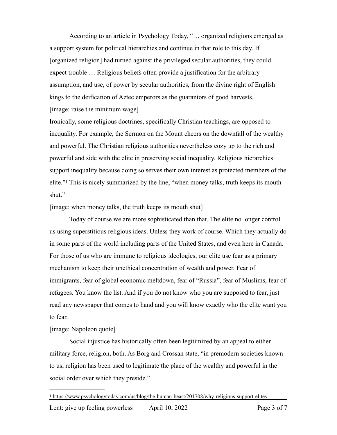According to an article in Psychology Today, "… organized religions emerged as a support system for political hierarchies and continue in that role to this day. If [organized religion] had turned against the privileged secular authorities, they could expect trouble … Religious beliefs often provide a justification for the arbitrary assumption, and use, of power by secular authorities, from the divine right of English kings to the deification of Aztec emperors as the guarantors of good harvests. [image: raise the minimum wage]

Ironically, some religious doctrines, specifically Christian teachings, are opposed to inequality. For example, the Sermon on the Mount cheers on the downfall of the wealthy and powerful. The Christian religious authorities nevertheless cozy up to the rich and powerful and side with the elite in preserving social inequality. Religious hierarchies support inequality because doing so serves their own interest as protected members of the elite."This is nicely summarized by the line, "when money talks, truth keeps its mouth shut."

<span id="page-2-1"></span>[image: when money talks, the truth keeps its mouth shut]

Today of course we are more sophisticated than that. The elite no longer control us using superstitious religious ideas. Unless they work of course. Which they actually do in some parts of the world including parts of the United States, and even here in Canada. For those of us who are immune to religious ideologies, our elite use fear as a primary mechanism to keep their unethical concentration of wealth and power. Fear of immigrants, fear of global economic meltdown, fear of "Russia", fear of Muslims, fear of refugees. You know the list. And if you do not know who you are supposed to fear, just read any newspaper that comes to hand and you will know exactly who the elite want you to fear.

### [image: Napoleon quote]

Social injustice has historically often been legitimized by an appeal to either military force, religion, both. As Borg and Crossan state, "in premodern societies known to us, religion has been used to legitimate the place of the wealthy and powerful in the social order over which they preside."

<span id="page-2-0"></span><sup>&</sup>lt;sup>[1](#page-2-1)</sup> https://www.psychologytoday.com/us/blog/the-human-beast/201708/why-religions-support-elites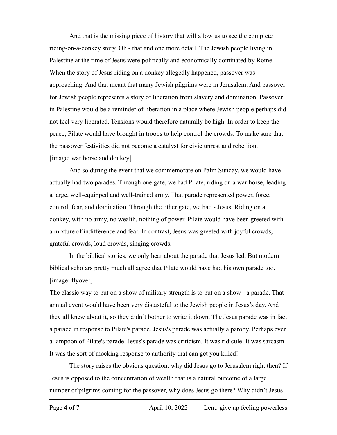And that is the missing piece of history that will allow us to see the complete riding-on-a-donkey story. Oh - that and one more detail. The Jewish people living in Palestine at the time of Jesus were politically and economically dominated by Rome. When the story of Jesus riding on a donkey allegedly happened, passover was approaching. And that meant that many Jewish pilgrims were in Jerusalem. And passover for Jewish people represents a story of liberation from slavery and domination. Passover in Palestine would be a reminder of liberation in a place where Jewish people perhaps did not feel very liberated. Tensions would therefore naturally be high. In order to keep the peace, Pilate would have brought in troops to help control the crowds. To make sure that the passover festivities did not become a catalyst for civic unrest and rebellion. [image: war horse and donkey]

And so during the event that we commemorate on Palm Sunday, we would have actually had two parades. Through one gate, we had Pilate, riding on a war horse, leading a large, well-equipped and well-trained army. That parade represented power, force, control, fear, and domination. Through the other gate, we had - Jesus. Riding on a donkey, with no army, no wealth, nothing of power. Pilate would have been greeted with a mixture of indifference and fear. In contrast, Jesus was greeted with joyful crowds, grateful crowds, loud crowds, singing crowds.

In the biblical stories, we only hear about the parade that Jesus led. But modern biblical scholars pretty much all agree that Pilate would have had his own parade too. [image: flyover]

The classic way to put on a show of military strength is to put on a show - a parade. That annual event would have been very distasteful to the Jewish people in Jesus's day. And they all knew about it, so they didn't bother to write it down. The Jesus parade was in fact a parade in response to Pilate's parade. Jesus's parade was actually a parody. Perhaps even a lampoon of Pilate's parade. Jesus's parade was criticism. It was ridicule. It was sarcasm. It was the sort of mocking response to authority that can get you killed!

The story raises the obvious question: why did Jesus go to Jerusalem right then? If Jesus is opposed to the concentration of wealth that is a natural outcome of a large number of pilgrims coming for the passover, why does Jesus go there? Why didn't Jesus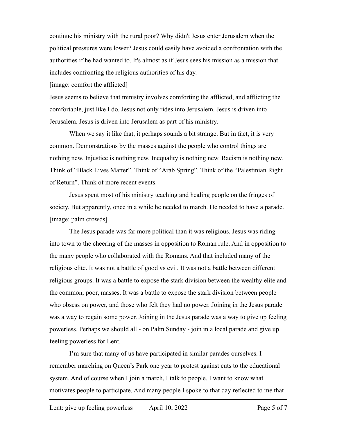continue his ministry with the rural poor? Why didn't Jesus enter Jerusalem when the political pressures were lower? Jesus could easily have avoided a confrontation with the authorities if he had wanted to. It's almost as if Jesus sees his mission as a mission that includes confronting the religious authorities of his day.

[image: comfort the afflicted]

Jesus seems to believe that ministry involves comforting the afflicted, and afflicting the comfortable, just like I do. Jesus not only rides into Jerusalem. Jesus is driven into Jerusalem. Jesus is driven into Jerusalem as part of his ministry.

When we say it like that, it perhaps sounds a bit strange. But in fact, it is very common. Demonstrations by the masses against the people who control things are nothing new. Injustice is nothing new. Inequality is nothing new. Racism is nothing new. Think of "Black Lives Matter". Think of "Arab Spring". Think of the "Palestinian Right of Return". Think of more recent events.

Jesus spent most of his ministry teaching and healing people on the fringes of society. But apparently, once in a while he needed to march. He needed to have a parade. [image: palm crowds]

The Jesus parade was far more political than it was religious. Jesus was riding into town to the cheering of the masses in opposition to Roman rule. And in opposition to the many people who collaborated with the Romans. And that included many of the religious elite. It was not a battle of good vs evil. It was not a battle between different religious groups. It was a battle to expose the stark division between the wealthy elite and the common, poor, masses. It was a battle to expose the stark division between people who obsess on power, and those who felt they had no power. Joining in the Jesus parade was a way to regain some power. Joining in the Jesus parade was a way to give up feeling powerless. Perhaps we should all - on Palm Sunday - join in a local parade and give up feeling powerless for Lent.

I'm sure that many of us have participated in similar parades ourselves. I remember marching on Queen's Park one year to protest against cuts to the educational system. And of course when I join a march, I talk to people. I want to know what motivates people to participate. And many people I spoke to that day reflected to me that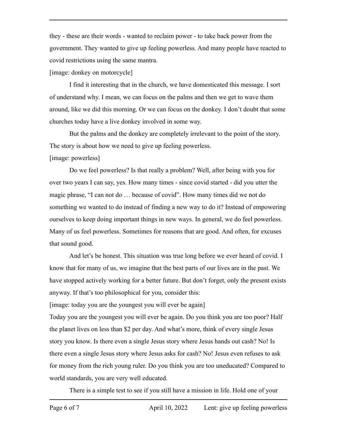they - these are their words - wanted to reclaim power - to take back power from the government. They wanted to give up feeling powerless. And many people have reacted to covid restrictions using the same mantra.

[image: donkey on motorcycle]

I find it interesting that in the church, we have domesticated this message. I sort of understand why. I mean, we can focus on the palms and then we get to wave them around, like we did this morning. Or we can focus on the donkey. I don't doubt that some churches today have a live donkey involved in some way.

But the palms and the donkey are completely irrelevant to the point of the story. The story is about how we need to give up feeling powerless.

# [image: powerless]

Do we feel powerless? Is that really a problem? Well, after being with you for over two years I can say, yes. How many times - since covid started - did you utter the magic phrase, "I can not do … because of covid". How many times did we not do something we wanted to do instead of finding a new way to do it? Instead of empowering ourselves to keep doing important things in new ways. In general, we do feel powerless. Many of us feel powerless. Sometimes for reasons that are good. And often, for excuses that sound good.

And let's be honest. This situation was true long before we ever heard of covid. I know that for many of us, we imagine that the best parts of our lives are in the past. We have stopped actively working for a better future. But don't forget, only the present exists anyway. If that's too philosophical for you, consider this:

[image: today you are the youngest you will ever be again]

Today you are the youngest you will ever be again. Do you think you are too poor? Half the planet lives on less than \$2 per day. And what's more, think of every single Jesus story you know. Is there even a single Jesus story where Jesus hands out cash? No! Is there even a single Jesus story where Jesus asks for cash? No! Jesus even refuses to ask for money from the rich young ruler. Do you think you are too uneducated? Compared to world standards, you are very well educated.

There is a simple test to see if you still have a mission in life. Hold one of your